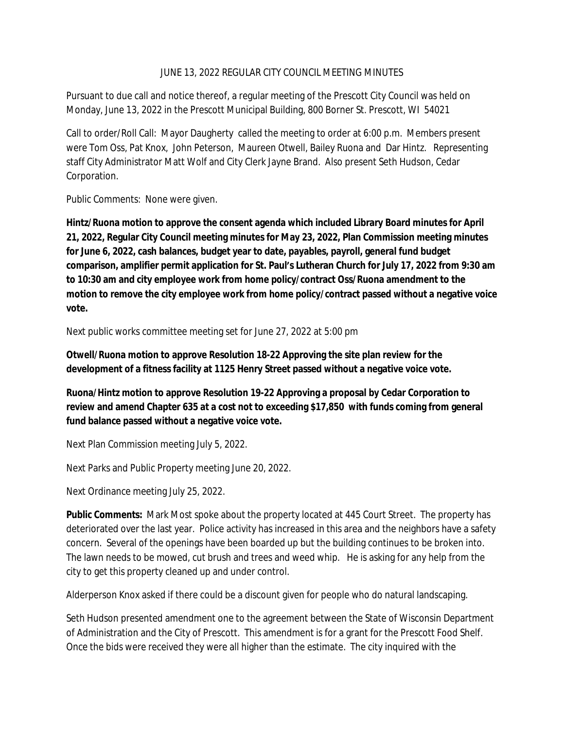## JUNE 13, 2022 REGULAR CITY COUNCIL MEETING MINUTES

Pursuant to due call and notice thereof, a regular meeting of the Prescott City Council was held on Monday, June 13, 2022 in the Prescott Municipal Building, 800 Borner St. Prescott, WI 54021

Call to order/Roll Call: Mayor Daugherty called the meeting to order at 6:00 p.m. Members present were Tom Oss, Pat Knox, John Peterson, Maureen Otwell, Bailey Ruona and Dar Hintz. Representing staff City Administrator Matt Wolf and City Clerk Jayne Brand. Also present Seth Hudson, Cedar Corporation.

Public Comments: None were given.

**Hintz/Ruona motion to approve the consent agenda which included Library Board minutes for April 21, 2022, Regular City Council meeting minutes for May 23, 2022, Plan Commission meeting minutes for June 6, 2022, cash balances, budget year to date, payables, payroll, general fund budget comparison, amplifier permit application for St. Paul's Lutheran Church for July 17, 2022 from 9:30 am to 10:30 am and city employee work from home policy/contract Oss/Ruona amendment to the motion to remove the city employee work from home policy/contract passed without a negative voice vote.**

Next public works committee meeting set for June 27, 2022 at 5:00 pm

**Otwell/Ruona motion to approve Resolution 18-22 Approving the site plan review for the development of a fitness facility at 1125 Henry Street passed without a negative voice vote.**

**Ruona/Hintz motion to approve Resolution 19-22 Approving a proposal by Cedar Corporation to review and amend Chapter 635 at a cost not to exceeding \$17,850 with funds coming from general fund balance passed without a negative voice vote.**

Next Plan Commission meeting July 5, 2022.

Next Parks and Public Property meeting June 20, 2022.

Next Ordinance meeting July 25, 2022.

**Public Comments:** Mark Most spoke about the property located at 445 Court Street. The property has deteriorated over the last year. Police activity has increased in this area and the neighbors have a safety concern. Several of the openings have been boarded up but the building continues to be broken into. The lawn needs to be mowed, cut brush and trees and weed whip. He is asking for any help from the city to get this property cleaned up and under control.

Alderperson Knox asked if there could be a discount given for people who do natural landscaping.

Seth Hudson presented amendment one to the agreement between the State of Wisconsin Department of Administration and the City of Prescott. This amendment is for a grant for the Prescott Food Shelf. Once the bids were received they were all higher than the estimate. The city inquired with the